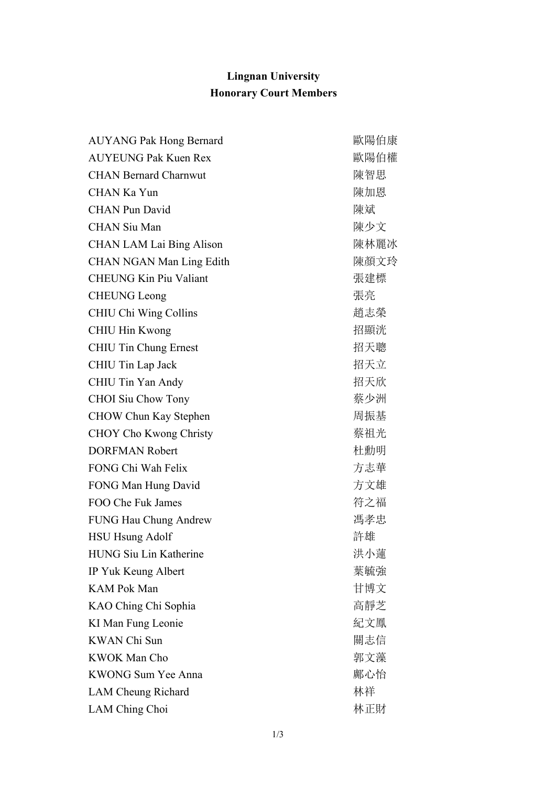## **Lingnan University Honorary Court Members**

| <b>AUYANG Pak Hong Bernard</b>  | 歐陽伯康 |
|---------------------------------|------|
| <b>AUYEUNG Pak Kuen Rex</b>     | 歐陽伯權 |
| <b>CHAN Bernard Charnwut</b>    | 陳智思  |
| <b>CHAN Ka Yun</b>              | 陳加恩  |
| <b>CHAN Pun David</b>           | 陳斌   |
| <b>CHAN Siu Man</b>             | 陳少文  |
| <b>CHAN LAM Lai Bing Alison</b> | 陳林麗冰 |
| <b>CHAN NGAN Man Ling Edith</b> | 陳顏文玲 |
| <b>CHEUNG Kin Piu Valiant</b>   | 張建標  |
| <b>CHEUNG Leong</b>             | 張亮   |
| CHIU Chi Wing Collins           | 趙志榮  |
| CHIU Hin Kwong                  | 招顯洸  |
| <b>CHIU Tin Chung Ernest</b>    | 招天聰  |
| CHIU Tin Lap Jack               | 招天立  |
| CHIU Tin Yan Andy               | 招天欣  |
| <b>CHOI</b> Siu Chow Tony       | 蔡少洲  |
| CHOW Chun Kay Stephen           | 周振基  |
| <b>CHOY Cho Kwong Christy</b>   | 蔡祖光  |
| <b>DORFMAN Robert</b>           | 杜勳明  |
| FONG Chi Wah Felix              | 方志華  |
| FONG Man Hung David             | 方文雄  |
| FOO Che Fuk James               | 符之福  |
| FUNG Hau Chung Andrew           | 馮孝忠  |
| <b>HSU Hsung Adolf</b>          | 許雄   |
| HUNG Siu Lin Katherine          | 洪小蓮  |
| IP Yuk Keung Albert             | 葉毓強  |
| <b>KAM Pok Man</b>              | 甘博文  |
| KAO Ching Chi Sophia            | 高靜芝  |
| KI Man Fung Leonie              | 紀文鳳  |
| <b>KWAN Chi Sun</b>             | 關志信  |
| KWOK Man Cho                    | 郭文藻  |
| <b>KWONG Sum Yee Anna</b>       | 鄺心怡  |
| LAM Cheung Richard              | 林祥   |
| LAM Ching Choi                  | 林正財  |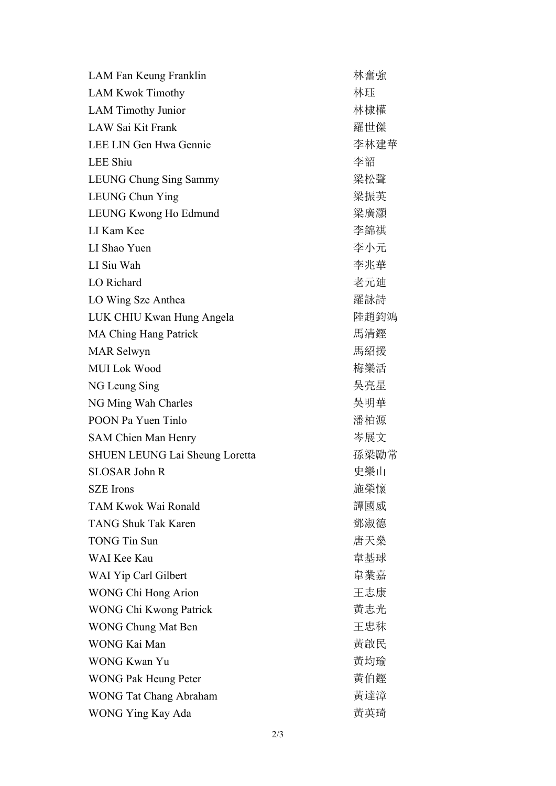| LAM Fan Keung Franklin                | 林奮強  |
|---------------------------------------|------|
| <b>LAM Kwok Timothy</b>               | 林珏   |
| <b>LAM Timothy Junior</b>             | 林棣權  |
| LAW Sai Kit Frank                     | 羅世傑  |
| LEE LIN Gen Hwa Gennie                | 李林建華 |
| <b>LEE Shiu</b>                       | 李韶   |
| LEUNG Chung Sing Sammy                | 梁松聲  |
| LEUNG Chun Ying                       | 梁振英  |
| LEUNG Kwong Ho Edmund                 | 梁廣灝  |
| LI Kam Kee                            | 李錦祺  |
| LI Shao Yuen                          | 李小元  |
| LI Siu Wah                            | 李兆華  |
| LO Richard                            | 老元廸  |
| LO Wing Sze Anthea                    | 羅詠詩  |
| LUK CHIU Kwan Hung Angela             | 陸趙鈞鴻 |
| <b>MA Ching Hang Patrick</b>          | 馬清鏗  |
| <b>MAR</b> Selwyn                     | 馬紹援  |
| <b>MUI Lok Wood</b>                   | 梅樂活  |
| NG Leung Sing                         | 吳亮星  |
| NG Ming Wah Charles                   | 吳明華  |
| POON Pa Yuen Tinlo                    | 潘柏源  |
| SAM Chien Man Henry                   | 岑展文  |
| <b>SHUEN LEUNG Lai Sheung Loretta</b> | 孫梁勵常 |
| <b>SLOSAR John R</b>                  | 史樂山  |
| SZE Irons                             | 施榮懷  |
| TAM Kwok Wai Ronald                   | 譚國威  |
| <b>TANG Shuk Tak Karen</b>            | 鄧淑德  |
| <b>TONG Tin Sun</b>                   | 唐天燊  |
| WAI Kee Kau                           | 韋基球  |
| WAI Yip Carl Gilbert                  | 韋業嘉  |
| WONG Chi Hong Arion                   | 王志康  |
| <b>WONG Chi Kwong Patrick</b>         | 黃志光  |
| <b>WONG Chung Mat Ben</b>             | 王忠秣  |
| WONG Kai Man                          | 黃啟民  |
| <b>WONG Kwan Yu</b>                   | 黃均瑜  |
| <b>WONG Pak Heung Peter</b>           | 黃伯鏗  |
| <b>WONG Tat Chang Abraham</b>         | 黃達漳  |
| WONG Ying Kay Ada                     | 黃英琦  |